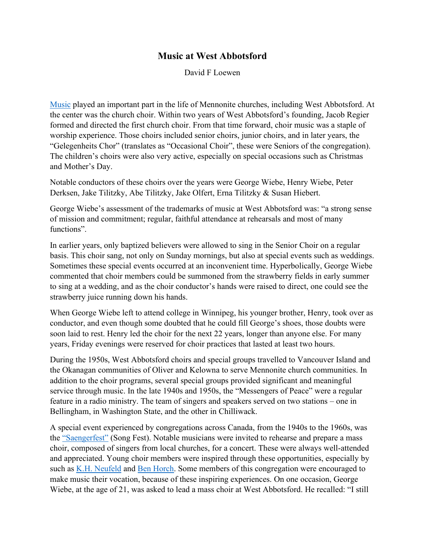## **Music at West Abbotsford**

David F Loewen

[Music](https://gameo.org/index.php?title=Music,_North_America) played an important part in the life of Mennonite churches, including West Abbotsford. At the center was the church choir. Within two years of West Abbotsford's founding, Jacob Regier formed and directed the first church choir. From that time forward, choir music was a staple of worship experience. Those choirs included senior choirs, junior choirs, and in later years, the "Gelegenheits Chor" (translates as "Occasional Choir", these were Seniors of the congregation). The children's choirs were also very active, especially on special occasions such as Christmas and Mother's Day.

Notable conductors of these choirs over the years were George Wiebe, Henry Wiebe, Peter Derksen, Jake Tilitzky, Abe Tilitzky, Jake Olfert, Erna Tilitzky & Susan Hiebert.

George Wiebe's assessment of the trademarks of music at West Abbotsford was: "a strong sense of mission and commitment; regular, faithful attendance at rehearsals and most of many functions".

In earlier years, only baptized believers were allowed to sing in the Senior Choir on a regular basis. This choir sang, not only on Sunday mornings, but also at special events such as weddings. Sometimes these special events occurred at an inconvenient time. Hyperbolically, George Wiebe commented that choir members could be summoned from the strawberry fields in early summer to sing at a wedding, and as the choir conductor's hands were raised to direct, one could see the strawberry juice running down his hands.

When George Wiebe left to attend college in Winnipeg, his younger brother, Henry, took over as conductor, and even though some doubted that he could fill George's shoes, those doubts were soon laid to rest. Henry led the choir for the next 22 years, longer than anyone else. For many years, Friday evenings were reserved for choir practices that lasted at least two hours.

During the 1950s, West Abbotsford choirs and special groups travelled to Vancouver Island and the Okanagan communities of Oliver and Kelowna to serve Mennonite church communities. In addition to the choir programs, several special groups provided significant and meaningful service through music. In the late 1940s and 1950s, the "Messengers of Peace" were a regular feature in a radio ministry. The team of singers and speakers served on two stations – one in Bellingham, in Washington State, and the other in Chilliwack.

A special event experienced by congregations across Canada, from the 1940s to the 1960s, was the ["Saengerfest"](https://gameo.org/index.php?title=Music,_North_America) (Song Fest). Notable musicians were invited to rehearse and prepare a mass choir, composed of singers from local churches, for a concert. These were always well-attended and appreciated. Young choir members were inspired through these opportunities, especially by such as [K.H. Neufeld](https://gameo.org/index.php?title=Neufeld,_Kornelius_H._(1892-1957)) and [Ben Horch.](https://gameo.org/index.php?title=Horch,_Ben_(1907-1992)) Some members of this congregation were encouraged to make music their vocation, because of these inspiring experiences. On one occasion, George Wiebe, at the age of 21, was asked to lead a mass choir at West Abbotsford. He recalled: "I still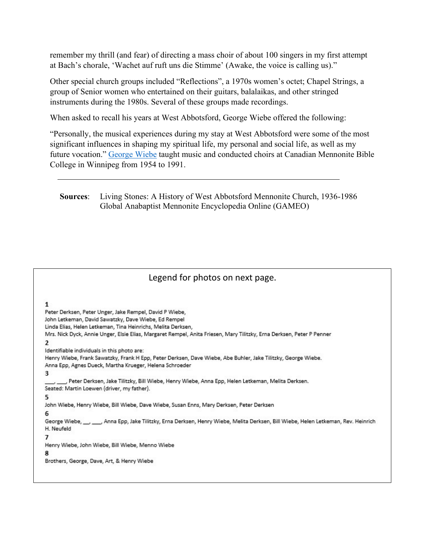remember my thrill (and fear) of directing a mass choir of about 100 singers in my first attempt at Bach's chorale, 'Wachet auf ruft uns die Stimme' (Awake, the voice is calling us)."

Other special church groups included "Reflections", a 1970s women's octet; Chapel Strings, a group of Senior women who entertained on their guitars, balalaikas, and other stringed instruments during the 1980s. Several of these groups made recordings.

When asked to recall his years at West Abbotsford, George Wiebe offered the following:

"Personally, the musical experiences during my stay at West Abbotsford were some of the most significant influences in shaping my spiritual life, my personal and social life, as well as my future vocation." [George Wiebe](https://www.thecanadianencyclopedia.ca/en/article/george-wiebe-emc) taught music and conducted choirs at Canadian Mennonite Bible College in Winnipeg from 1954 to 1991.

**Sources**: Living Stones: A History of West Abbotsford Mennonite Church, 1936-1986 Global Anabaptist Mennonite Encyclopedia Online (GAMEO)

## Legend for photos on next page.

1

Peter Derksen, Peter Unger, Jake Rempel, David P Wiebe, John Letkeman, David Sawatzky, Dave Wiebe, Ed Rempel Linda Elias, Helen Letkeman, Tina Heinrichs, Melita Derksen, Mrs. Nick Dyck, Annie Unger, Elsie Elias, Margaret Rempel, Anita Friesen, Mary Tilitzky, Erna Derksen, Peter P Penner  $\mathcal{P}$ Identifiable individuals in this photo are: Henry Wiebe, Frank Sawatzky, Frank H Epp, Peter Derksen, Dave Wiebe, Abe Buhler, Jake Tilitzky, George Wiebe. Anna Epp, Agnes Dueck, Martha Krueger, Helena Schroeder 3 , Peter Derksen, Jake Tilitzky, Bill Wiebe, Henry Wiebe, Anna Epp, Helen Letkeman, Melita Derksen. Seated: Martin Loewen (driver, my father). 5 John Wiebe, Henry Wiebe, Bill Wiebe, Dave Wiebe, Susan Enns, Mary Derksen, Peter Derksen George Wiebe, \_\_, \_\_, Anna Epp, Jake Tilitzky, Erna Derksen, Henry Wiebe, Melita Derksen, Bill Wiebe, Helen Letkeman, Rev. Heinrich H. Neufeld 7 Henry Wiebe, John Wiebe, Bill Wiebe, Menno Wiebe R Brothers, George, Dave, Art, & Henry Wiebe